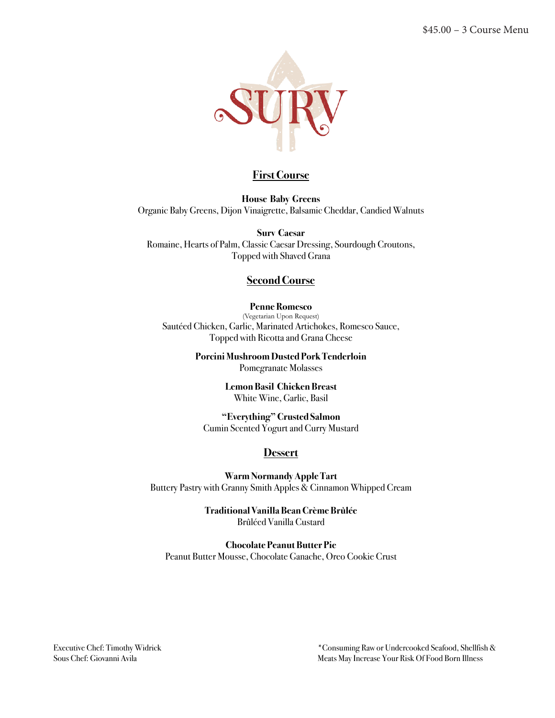

**House Baby Greens** Organic Baby Greens, Dijon Vinaigrette, Balsamic Cheddar, Candied Walnuts

**Surv Caesar**  Romaine, Hearts of Palm, Classic Caesar Dressing, Sourdough Croutons, Topped with Shaved Grana

#### **Second Course**

#### **Penne Romesco**

(Vegetarian Upon Request) Sautéed Chicken, Garlic, Marinated Artichokes, Romesco Sauce, Topped with Ricotta and Grana Cheese

> **Porcini Mushroom Dusted Pork Tenderloin** Pomegranate Molasses

> > **Lemon Basil Chicken Breast** White Wine, Garlic, Basil

**"Everything" Crusted Salmon** Cumin Scented Yogurt and Curry Mustard

#### **Dessert**

**Warm Normandy Apple Tart**  Buttery Pastry with Granny Smith Apples & Cinnamon Whipped Cream

> **Traditional Vanilla Bean Crème Brûlée** BrûléedVanilla Custard

**Chocolate Peanut Butter Pie** Peanut Butter Mousse, Chocolate Ganache, Oreo Cookie Crust

Executive Chef: Timothy Widrick \*Consuming Raw or Undercooked Seafood, Shellfish & Sous Chef: Giovanni Avila Meats May Increase Your Risk Of Food Born Illness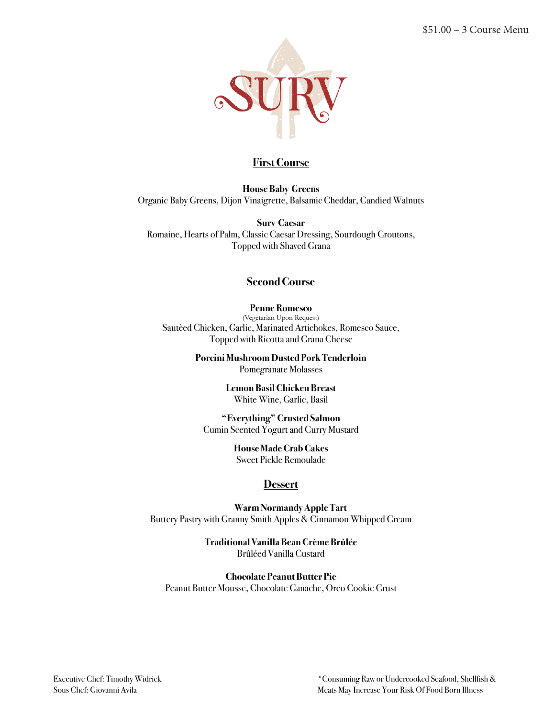

**House Baby Greens** Organic Baby Greens, Dijon Vinaigrette, Balsamic Cheddar, Candied Walnuts

**Surv Caesar**  Romaine, Hearts of Palm, Classic Caesar Dressing, Sourdough Croutons, Topped with Shaved Grana

#### **Second Course**

#### **Penne Romesco**

(Vegetarian Upon Request) Sautèed Chicken, Garlic, Marinated Artichokes, Romesco Sauce, Topped with Ricotta and Grana Cheese

> **Porcini Mushroom Dusted Pork Tenderloin** Pomegranate Molasses

> > **Lemon Basil Chicken Breast** White Wine, Garlic, Basil

**"Everything" Crusted Salmon** Cumin Scented Yogurt and Curry Mustard

### **House Made Crab Cakes**

Sweet Pickle Remoulade

#### **Dessert**

 **Warm Normandy Apple Tart** Buttery Pastry with Granny Smith Apples & Cinnamon Whipped Cream

> **Traditional Vanilla Bean Crème Brûlée** BrûléedVanilla Custard

**Chocolate Peanut Butter Pie** Peanut Butter Mousse, Chocolate Ganache, Oreo Cookie Crust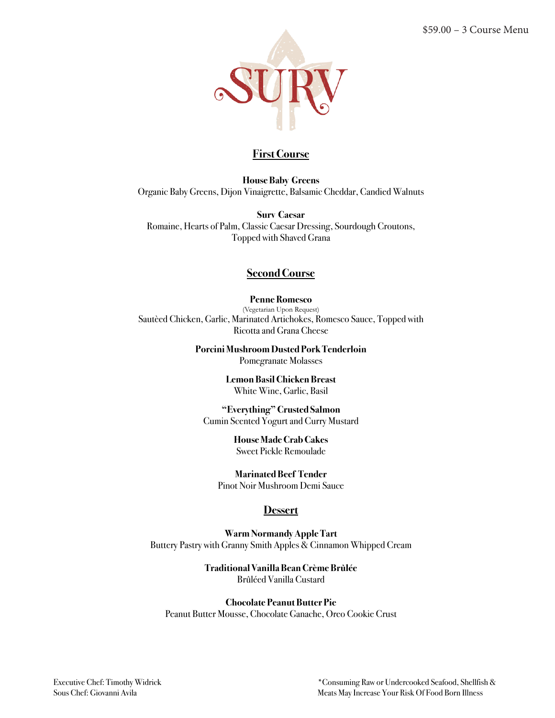

**House Baby Greens** Organic Baby Greens, Dijon Vinaigrette, Balsamic Cheddar, Candied Walnuts

**Surv Caesar**  Romaine, Hearts of Palm, Classic Caesar Dressing, Sourdough Croutons, Topped with Shaved Grana

## **Second Course**

**Penne Romesco** (Vegetarian Upon Request) Sautèed Chicken, Garlic, Marinated Artichokes, Romesco Sauce, Topped with Ricotta and Grana Cheese

> **Porcini Mushroom Dusted Pork Tenderloin** Pomegranate Molasses

> > **Lemon Basil Chicken Breast** White Wine, Garlic, Basil

**"Everything" Crusted Salmon** Cumin Scented Yogurt and Curry Mustard

> **House Made Crab Cakes** Sweet Pickle Remoulade

**Marinated Beef Tender** Pinot Noir Mushroom Demi Sauce

# **Dessert**

**Warm Normandy Apple Tart** Buttery Pastry with Granny Smith Apples & Cinnamon Whipped Cream

> **Traditional Vanilla Bean Crème Brûlée** BrûléedVanilla Custard

#### **Chocolate Peanut Butter Pie**

Peanut Butter Mousse, Chocolate Ganache, Oreo Cookie Crust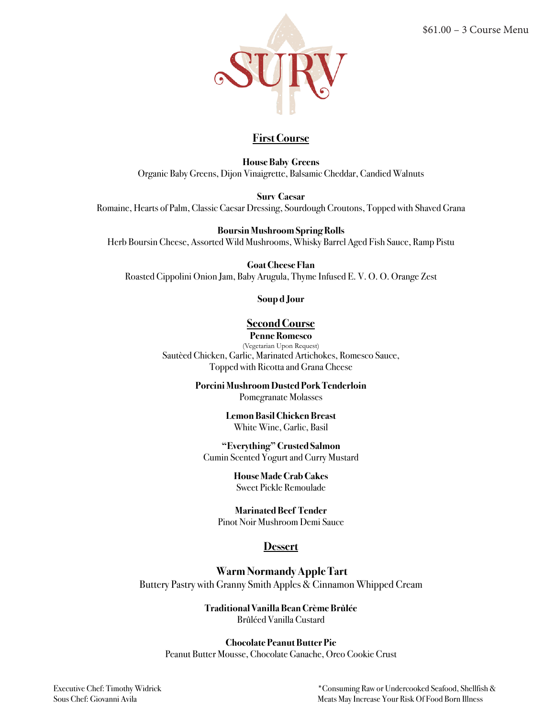

**House Baby Greens** Organic Baby Greens, Dijon Vinaigrette, Balsamic Cheddar, Candied Walnuts

**Surv Caesar** 

Romaine, Hearts of Palm, Classic Caesar Dressing, Sourdough Croutons, Topped with Shaved Grana

**Boursin Mushroom Spring Rolls**

Herb Boursin Cheese, Assorted Wild Mushrooms, Whisky Barrel Aged Fish Sauce, Ramp Pistu

**Goat Cheese Flan**

Roasted Cippolini Onion Jam, Baby Arugula, Thyme Infused E. V. O. O. Orange Zest

**Soup d Jour**

## **Second Course**

**Penne Romesco**

(Vegetarian Upon Request) Sautèed Chicken, Garlic, Marinated Artichokes, Romesco Sauce, Topped with Ricotta and Grana Cheese

> **Porcini Mushroom Dusted Pork Tenderloin** Pomegranate Molasses

> > **Lemon Basil Chicken Breast** White Wine, Garlic, Basil

**"Everything" Crusted Salmon** Cumin Scented Yogurt and Curry Mustard

> **House Made Crab Cakes** Sweet Pickle Remoulade

**Marinated Beef Tender** Pinot Noir Mushroom Demi Sauce

#### **Dessert**

 **Warm Normandy Apple Tart**  Buttery Pastry with Granny Smith Apples & Cinnamon Whipped Cream

> **Traditional Vanilla Bean Crème Brûlée**  BrûléedVanilla Custard

**Chocolate Peanut Butter Pie** Peanut Butter Mousse, Chocolate Ganache, Oreo Cookie Crust

Executive Chef: Timothy Widrick \*Consuming Raw or Undercooked Seafood, Shellfish & Sous Chef: Giovanni Avila Meats May Increase Your Risk Of Food Born Illness